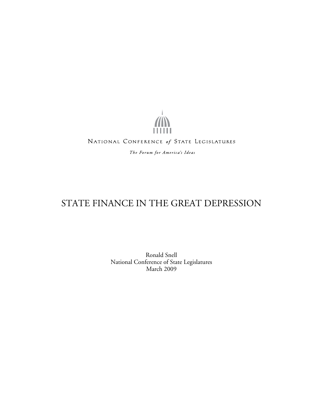...... NATIONAL CONFERENCE of STATE LEGISLATURES The Forum for America's Ideas

# STATE FINANCE IN THE GREAT DEPRESSION

Ronald Snell National Conference of State Legislatures March 2009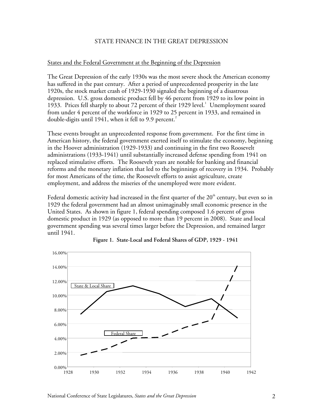# STATE FINANCE IN THE GREAT DEPRESSION

# States and the Federal Government at the Beginning of the Depression

The Great Depression of the early 1930s was the most severe shock the American economy has suffered in the past century. After a period of unprecedented prosperity in the late 1920s, the stock market crash of 1929-1930 signaled the beginning of a disastrous depression. U.S. gross domestic product fell by 46 percent from 1929 to its low point in 1933. Prices fell sharply to about 72 percent of their 1929 level.<sup>1</sup> Unemployment soared from under 4 percent of the workforce in 1929 to 25 percent in 1933, and remained in double-digits until 1941, when it fell to 9.9 percent.<sup>2</sup>

These events brought an unprecedented response from government. For the first time in American history, the federal government exerted itself to stimulate the economy, beginning in the Hoover administration (1929-1933) and continuing in the first two Roosevelt administrations (1933-1941) until substantially increased defense spending from 1941 on replaced stimulative efforts. The Roosevelt years are notable for banking and financial reforms and the monetary inflation that led to the beginnings of recovery in 1934. Probably for most Americans of the time, the Roosevelt efforts to assist agriculture, create employment, and address the miseries of the unemployed were more evident.

Federal domestic activity had increased in the first quarter of the  $20<sup>th</sup>$  century, but even so in 1929 the federal government had an almost unimaginably small economic presence in the United States. As shown in figure 1, federal spending composed 1.6 percent of gross domestic product in 1929 (as opposed to more than 19 percent in 2008). State and local government spending was several times larger before the Depression, and remained larger until 1941.



**Figure 1. State-Local and Federal Shares of GDP, 1929 - 1941**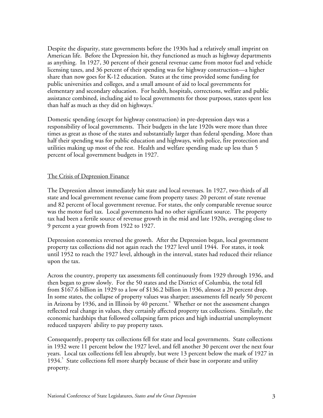Despite the disparity, state governments before the 1930s had a relatively small imprint on American life. Before the Depression hit, they functioned as much as highway departments as anything. In 1927, 30 percent of their general revenue came from motor fuel and vehicle licensing taxes, and 36 percent of their spending was for highway construction—a higher share than now goes for K-12 education. States at the time provided some funding for public universities and colleges, and a small amount of aid to local governments for elementary and secondary education. For health, hospitals, corrections, welfare and public assistance combined, including aid to local governments for those purposes, states spent less than half as much as they did on highways.<sup>3</sup>

Domestic spending (except for highway construction) in pre-depression days was a responsibility of local governments. Their budgets in the late 1920s were more than three times as great as those of the states and substantially larger than federal spending. More than half their spending was for public education and highways, with police, fire protection and utilities making up most of the rest. Health and welfare spending made up less than 5 percent of local government budgets in 1927.

#### The Crisis of Depression Finance

The Depression almost immediately hit state and local revenues. In 1927, two-thirds of all state and local government revenue came from property taxes: 20 percent of state revenue and 82 percent of local government revenue. For states, the only comparable revenue source was the motor fuel tax. Local governments had no other significant source. The property tax had been a fertile source of revenue growth in the mid and late 1920s, averaging close to 9 percent a year growth from 1922 to 1927.

Depression economics reversed the growth. After the Depression began, local government property tax collections did not again reach the 1927 level until 1944. For states, it took until 1952 to reach the 1927 level, although in the interval, states had reduced their reliance upon the tax.

Across the country, property tax assessments fell continuously from 1929 through 1936, and then began to grow slowly. For the 50 states and the District of Columbia, the total fell from \$167.6 billion in 1929 to a low of \$136.2 billion in 1936, almost a 20 percent drop. In some states, the collapse of property values was sharper; assessments fell nearly 50 percent in Arizona by 1936, and in Illinois by  $40$  percent. $^4$  Whether or not the assessment changes reflected real change in values, they certainly affected property tax collections. Similarly, the economic hardships that followed collapsing farm prices and high industrial unemployment reduced taxpayers' ability to pay property taxes.

Consequently, property tax collections fell for state and local governments. State collections in 1932 were 11 percent below the 1927 level, and fell another 30 percent over the next four years. Local tax collections fell less abruptly, but were 13 percent below the mark of 1927 in 1934.<sup>5</sup> State collections fell more sharply because of their base in corporate and utility property.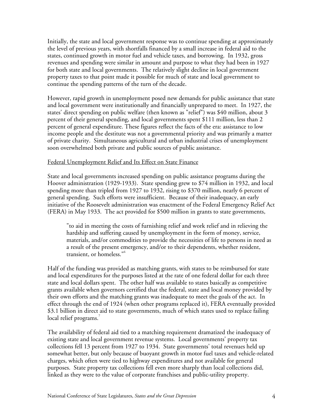Initially, the state and local government response was to continue spending at approximately the level of previous years, with shortfalls financed by a small increase in federal aid to the states, continued growth in motor fuel and vehicle taxes, and borrowing. In 1932, gross revenues and spending were similar in amount and purpose to what they had been in 1927 for both state and local governments. The relatively slight decline in local government property taxes to that point made it possible for much of state and local government to continue the spending patterns of the turn of the decade.

However, rapid growth in unemployment posed new demands for public assistance that state and local government were institutionally and financially unprepared to meet. In 1927, the states' direct spending on public welfare (then known as "relief") was \$40 million, about 3 percent of their general spending, and local governments spent \$111 million, less than 2 percent of general expenditure. These figures reflect the facts of the era: assistance to low income people and the destitute was not a governmental priority and was primarily a matter of private charity. Simultaneous agricultural and urban industrial crises of unemployment soon overwhelmed both private and public sources of public assistance.

#### Federal Unemployment Relief and Its Effect on State Finance

State and local governments increased spending on public assistance programs during the Hoover administration (1929-1933). State spending grew to \$74 million in 1932, and local spending more than tripled from 1927 to 1932, rising to \$370 million, nearly 6 percent of general spending. Such efforts were insufficient. Because of their inadequacy, an early initiative of the Roosevelt administration was enactment of the Federal Emergency Relief Act (FERA) in May 1933. The act provided for \$500 million in grants to state governments,

"to aid in meeting the costs of furnishing relief and work relief and in relieving the hardship and suffering caused by unemployment in the form of money, service, materials, and/or commodities to provide the necessities of life to persons in need as a result of the present emergency, and/or to their dependents, whether resident, transient, or homeless."<sup>6</sup>

Half of the funding was provided as matching grants, with states to be reimbursed for state and local expenditures for the purposes listed at the rate of one federal dollar for each three state and local dollars spent. The other half was available to states basically as competitive grants available when governors certified that the federal, state and local money provided by their own efforts and the matching grants was inadequate to meet the goals of the act. In effect through the end of 1924 (when other programs replaced it), FERA eventually provided \$3.1 billion in direct aid to state governments, much of which states used to replace failing local relief programs.<sup>7</sup>

The availability of federal aid tied to a matching requirement dramatized the inadequacy of existing state and local government revenue systems. Local governments' property tax collections fell 13 percent from 1927 to 1934. State governments' total revenues held up somewhat better, but only because of buoyant growth in motor fuel taxes and vehicle-related charges, which often were tied to highway expenditures and not available for general purposes. State property tax collections fell even more sharply than local collections did, linked as they were to the value of corporate franchises and public-utility property.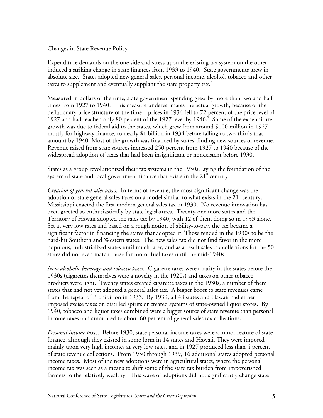# Changes in State Revenue Policy

Expenditure demands on the one side and stress upon the existing tax system on the other induced a striking change in state finances from 1933 to 1940. State governments grew in absolute size. States adopted new general sales, personal income, alcohol, tobacco and other taxes to supplement and eventually supplant the state property tax.<sup>8</sup>

Measured in dollars of the time, state government spending grew by more than two and half times from 1927 to 1940. This measure underestimates the actual growth, because of the deflationary price structure of the time—prices in 1934 fell to 72 percent of the price level of 1927 and had reached only 80 percent of the 1927 level by 1940. $\degree$  Some of the expenditure growth was due to federal aid to the states, which grew from around \$100 million in 1927, mostly for highway finance, to nearly \$1 billion in 1934 before falling to two-thirds that amount by 1940. Most of the growth was financed by states' finding new sources of revenue. Revenue raised from state sources increased 250 percent from 1927 to 1940 because of the widespread adoption of taxes that had been insignificant or nonexistent before 1930.

States as a group revolutionized their tax systems in the 1930s, laying the foundation of the system of state and local government finance that exists in the  $21<sup>st</sup>$  century.

*Creation of general sales taxes.* In terms of revenue, the most significant change was the adoption of state general sales taxes on a model similar to what exists in the 21 $^{\rm st}$  century. Mississippi enacted the first modern general sales tax in 1930. No revenue innovation has been greeted so enthusiastically by state legislatures. Twenty-one more states and the Territory of Hawaii adopted the sales tax by 1940, with 12 of them doing so in 1933 alone. Set at very low rates and based on a rough notion of ability-to-pay, the tax became a significant factor in financing the states that adopted it. Those tended in the 1930s to be the hard-hit Southern and Western states. The new sales tax did not find favor in the more populous, industrialized states until much later, and as a result sales tax collections for the 50 states did not even match those for motor fuel taxes until the mid-1940s.

*New alcoholic beverage and tobacco taxes.* Cigarette taxes were a rarity in the states before the 1930s (cigarettes themselves were a novelty in the 1920s) and taxes on other tobacco products were light. Twenty states created cigarette taxes in the 1930s, a number of them states that had not yet adopted a general sales tax. A bigger boost to state revenues came from the repeal of Prohibition in 1933. By 1939, all 48 states and Hawaii had either imposed excise taxes on distilled spirits or created systems of state-owned liquor stores. By 1940, tobacco and liquor taxes combined were a bigger source of state revenue than personal income taxes and amounted to about 60 percent of general sales tax collections.

*Personal income taxes*. Before 1930, state personal income taxes were a minor feature of state finance, although they existed in some form in 14 states and Hawaii. They were imposed mainly upon very high incomes at very low rates, and in 1927 produced less than 4 percent of state revenue collections. From 1930 through 1939, 16 additional states adopted personal income taxes. Most of the new adoptions were in agricultural states, where the personal income tax was seen as a means to shift some of the state tax burden from impoverished farmers to the relatively wealthy. This wave of adoptions did not significantly change state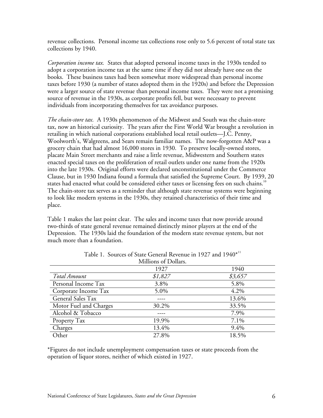revenue collections. Personal income tax collections rose only to 5.6 percent of total state tax collections by 1940.

*Corporation income tax.* States that adopted personal income taxes in the 1930s tended to adopt a corporation income tax at the same time if they did not already have one on the books. These business taxes had been somewhat more widespread than personal income taxes before 1930 (a number of states adopted them in the 1920s) and before the Depression were a larger source of state revenue than personal income taxes. They were not a promising source of revenue in the 1930s, as corporate profits fell, but were necessary to prevent individuals from incorporating themselves for tax avoidance purposes.

*The chain-store tax.* A 1930s phenomenon of the Midwest and South was the chain-store tax, now an historical curiosity. The years after the First World War brought a revolution in retailing in which national corporations established local retail outlets—J.C. Penny, Woolworth's, Walgreens, and Sears remain familiar names. The now-forgotten A&P was a grocery chain that had almost 16,000 stores in 1930. To preserve locally-owned stores, placate Main Street merchants and raise a little revenue, Midwestern and Southern states enacted special taxes on the proliferation of retail outlets under one name from the 1920s into the late 1930s. Original efforts were declared unconstitutional under the Commerce Clause, but in 1930 Indiana found a formula that satisfied the Supreme Court. By 1939, 20 states had enacted what could be considered either taxes or licensing fees on such chains.<sup>10</sup> The chain-store tax serves as a reminder that although state revenue systems were beginning to look like modern systems in the 1930s, they retained characteristics of their time and place.

Table 1 makes the last point clear. The sales and income taxes that now provide around two-thirds of state general revenue remained distinctly minor players at the end of the Depression. The 1930s laid the foundation of the modern state revenue system, but not much more than a foundation.

|                        | <b>NIMIDOMS</b> OF DOMAIS. |         |
|------------------------|----------------------------|---------|
|                        | 1927                       | 1940    |
| Total Amount           | \$1,827                    | \$3,657 |
| Personal Income Tax    | 3.8%                       | 5.8%    |
| Corporate Income Tax   | 5.0%                       | 4.2%    |
| General Sales Tax      |                            | 13.6%   |
| Motor Fuel and Charges | 30.2%                      | 33.5%   |
| Alcohol & Tobacco      |                            | 7.9%    |
| Property Tax           | 19.9%                      | 7.1%    |
| Charges                | 13.4%                      | $9.4\%$ |
| Other                  | 27.8%                      | 18.5%   |

| Table 1. Sources of State General Revenue in 1927 and 1940 <sup>*11</sup> |
|---------------------------------------------------------------------------|
| $M(1)_{\text{obs}}$ of $D_2(1)_{\text{obs}}$                              |

\*Figures do not include unemployment compensation taxes or state proceeds from the operation of liquor stores, neither of which existed in 1927.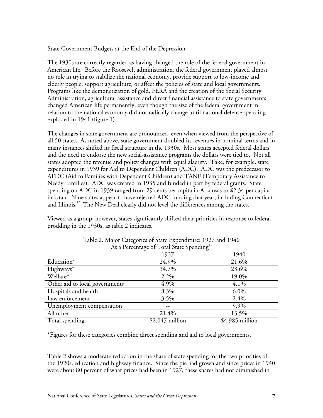# State Government Budgets at the End of the Depression

The 1930s are correctly regarded as having changed the role of the federal government in American life. Before the Roosevelt administration, the federal government played almost no role in trying to stabilize the national economy, provide support to low-income and elderly people, support agriculture, or affect the policies of state and local governments. Programs like the demonetization of gold, FERA and the creation of the Social Security Administration, agricultural assistance and direct financial assistance to state governments changed American life permanently, even though the size of the federal government in relation to the national economy did not radically change until national defense spending exploded in 1941 (figure 1).

The changes in state government are pronounced, even when viewed from the perspective of all 50 states. As noted above, state government doubled its revenues in nominal terms and in many instances shifted its fiscal structure in the 1930s. Most states accepted federal dollars and the need to endorse the new social-assistance programs the dollars were tied to. Not all states adopted the revenue and policy changes with equal alacrity. Take, for example, state expenditures in 1939 for Aid to Dependent Children (ADC). ADC was the predecessor to AFDC (Aid to Families with Dependent Children) and TANF (Temporary Assistance to Needy Families). ADC was created in 1935 and funded in part by federal grants. State spending on ADC in 1939 ranged from 29 cents per capita in Arkansas to \$2.34 per capita in Utah. Nine states appear to have rejected ADC funding that year, including Connecticut and Illinois.<sup>12</sup> The New Deal clearly did not level the differences among the states.

Viewed as a group, however, states significantly shifted their priorities in response to federal prodding in the 1930s, as table 2 indicates.

| As a Percentage of Total State Spending |                  |                  |
|-----------------------------------------|------------------|------------------|
|                                         | 1927             | 1940             |
| Education*                              | 24.9%            | 21.6%            |
| Highways*                               | 34.7%            | 23.6%            |
| Welfare*                                | 2.2%             | 19.0%            |
| Other aid to local governments          | 4.9%             | 4.1%             |
| Hospitals and health                    | 8.3%             | 6.0%             |
| Law enforcement                         | 3.5%             | 2.4%             |
| Unemployment compensation               |                  | 9.9%             |
| All other                               | 21.4%            | 13.5%            |
| Total spending                          | $$2,047$ million | $$4,985$ million |

Table 2. Major Categories of State Expenditure: 1927 and 1940 As a Percentage of Total State Spending $^{\rm 13}$ 

\*Figures for these categories combine direct spending and aid to local governments.

Table 2 shows a moderate reduction in the share of state spending for the two priorities of the 1920s, education and highway finance. Since the pie had grown and since prices in 1940 were about 80 percent of what prices had been in 1927, these shares had not diminished in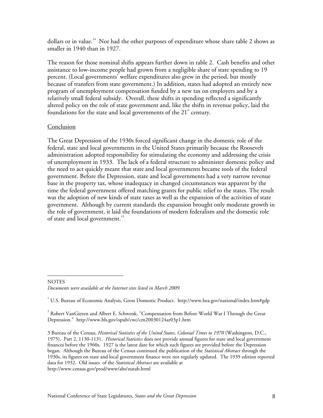dollars or in value.<sup>14</sup> Nor had the other purposes of expenditure whose share table 2 shows as smaller in 1940 than in 1927.

The reason for those nominal shifts appears further down in table 2. Cash benefits and other assistance to low-income people had grown from a negligible share of state spending to 19 percent. (Local governments' welfare expenditures also grew in the period, but mostly because of transfers from state government.) In addition, states had adopted an entirely new program of unemployment compensation funded by a new tax on employers and by a relatively small federal subsidy. Overall, these shifts in spending reflected a significantly altered policy on the role of state government and, like the shifts in revenue policy, laid the foundations for the state and local governments of the 21 $^{\rm st}$  century.

#### **Conclusion**

-

The Great Depression of the 1930s forced significant change in the domestic role of the federal, state and local governments in the United States primarily because the Roosevelt administration adopted responsibility for stimulating the economy and addressing the crisis of unemployment in 1933. The lack of a federal structure to administer domestic policy and the need to act quickly meant that state and local governments became tools of the federal government. Before the Depression, state and local governments had a very narrow revenue base in the property tax, whose inadequacy in changed circumstances was apparent by the time the federal government offered matching grants for public relief to the states. The result was the adoption of new kinds of state taxes as well as the expansion of the activities of state government. Although by current standards the expansion brought only moderate growth in the role of government, it laid the foundations of modern federalism and the domestic role of state and local government.<sup>15</sup>

**NOTES** *Documents were available at the Internet sites listed in March 2009.* 

3 Bureau of the Census, *Historical Statistics of the United States, Colonial Times to 1970* (Washington, D.C., 1975), Part 2, 1130-1131. *Historical Statistics* does not provide annual figures for state and local government finances before the 1960s. 1927 is the latest date for which such figures are provided before the Depression began. Although the Bureau of the Census continued the publication of the *Statistical Abstract* through the 1930s, its figures on state and local government finance were not regularly updated. The 1939 edition reported data for 1932. Old issues of the *Statistical Abstract* are available at http://www.census.gov/prod/www/abs/statab.html

 $^{\rm ^1}$  U.S. Bureau of Economic Analysis, Gross Domestic Product. http://www.bea.gov/national/index.htm#gdp

 $^{\text{2}}$  Robert VanGiezen and Albert E. Schwenk, "Compensation from Before World War I Through the Great Depression." http://www.bls.gov/opub/cwc/cm20030124ar03p1.htm